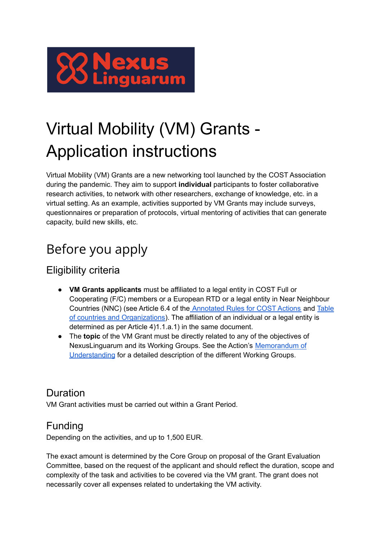

# Virtual Mobility (VM) Grants - Application instructions

Virtual Mobility (VM) Grants are a new networking tool launched by the COST Association during the pandemic. They aim to support **individual** participants to foster collaborative research activities, to network with other researchers, exchange of knowledge, etc. in a virtual setting. As an example, activities supported by VM Grants may include surveys, questionnaires or preparation of protocols, virtual mentoring of activities that can generate capacity, build new skills, etc.

## Before you apply

## Eligibility criteria

- **VM Grants applicants** must be affiliated to a legal entity in COST Full or Cooperating (F/C) members or a European RTD or a legal entity in Near Neighbour Countries (NNC) (see Article 6.4 of the [Annotated](https://www.cost.eu/uploads/2022/02/COST-094-21-Annotated-Rules-for-COST-Actions-Level-C-2022-02-15.pdf) Rules for COST Actions and [Table](https://www.cost.eu/uploads/2021/10/Annex-I-level-A-Country-and-Organisations-Table-REVISION.pdf) of countries and [Organizations](https://www.cost.eu/uploads/2021/10/Annex-I-level-A-Country-and-Organisations-Table-REVISION.pdf)). The affiliation of an individual or a legal entity is determined as per Article 4)1.1.a.1) in the same document.
- The **topic** of the VM Grant must be directly related to any of the objectives of NexusLinguarum and its Working Groups. See the Action's [Memorandum](https://e-services.cost.eu/files/domain_files/CA/Action_CA18209/mou/CA18209-e.pdf) of [Understanding](https://e-services.cost.eu/files/domain_files/CA/Action_CA18209/mou/CA18209-e.pdf) for a detailed description of the different Working Groups.

## Duration

VM Grant activities must be carried out within a Grant Period.

## Funding

Depending on the activities, and up to 1,500 EUR.

The exact amount is determined by the Core Group on proposal of the Grant Evaluation Committee, based on the request of the applicant and should reflect the duration, scope and complexity of the task and activities to be covered via the VM grant. The grant does not necessarily cover all expenses related to undertaking the VM activity.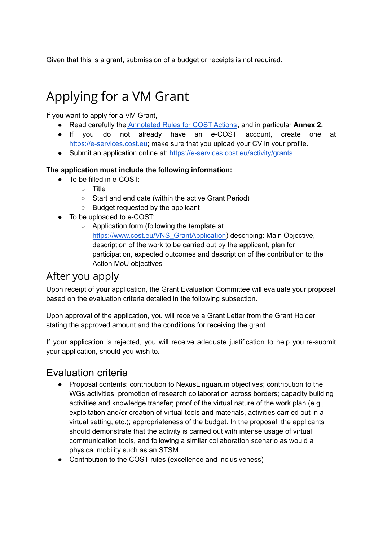Given that this is a grant, submission of a budget or receipts is not required.

## Applying for a VM Grant

If you want to apply for a VM Grant,

- Read carefully the [Annotated](https://www.cost.eu/uploads/2022/02/COST-094-21-Annotated-Rules-for-COST-Actions-Level-C-2022-02-15.pdf) Rules for COST Actions, and in particular **Annex 2.**
- If you do not already have an e-COST account, create one at [https://e-services.cost.eu;](https://e-services.cost.eu) make sure that you upload your CV in your profile.
- Submit an application online at: <https://e-services.cost.eu/activity/grants>

#### **The application must include the following information:**

- To be filled in e-COST:
	- Title
	- Start and end date (within the active Grant Period)
	- Budget requested by the applicant
- To be uploaded to e-COST:
	- Application form (following the template at [https://www.cost.eu/VNS\\_GrantApplication\)](https://www.cost.eu/VNS_GrantApplication) describing: Main Objective, description of the work to be carried out by the applicant, plan for participation, expected outcomes and description of the contribution to the Action MoU objectives

### After you apply

Upon receipt of your application, the Grant Evaluation Committee will evaluate your proposal based on the evaluation criteria detailed in the following subsection.

Upon approval of the application, you will receive a Grant Letter from the Grant Holder stating the approved amount and the conditions for receiving the grant.

If your application is rejected, you will receive adequate justification to help you re-submit your application, should you wish to.

### Evaluation criteria

- Proposal contents: contribution to NexusLinguarum objectives; contribution to the WGs activities; promotion of research collaboration across borders; capacity building activities and knowledge transfer; proof of the virtual nature of the work plan (e.g., exploitation and/or creation of virtual tools and materials, activities carried out in a virtual setting, etc.); appropriateness of the budget. In the proposal, the applicants should demonstrate that the activity is carried out with intense usage of virtual communication tools, and following a similar collaboration scenario as would a physical mobility such as an STSM.
- Contribution to the COST rules (excellence and inclusiveness)